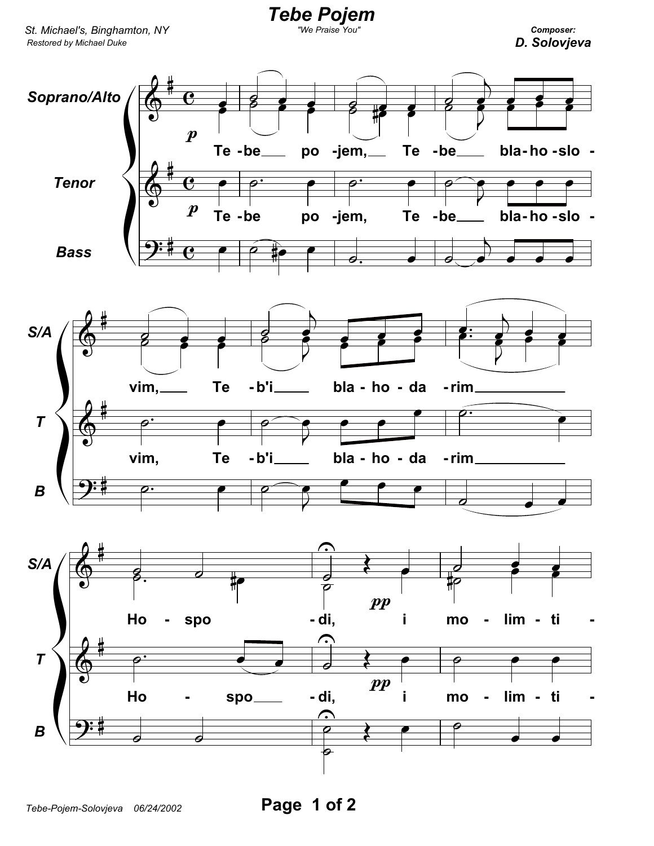

Tebe Pojem

Composer: D. Solovjeva